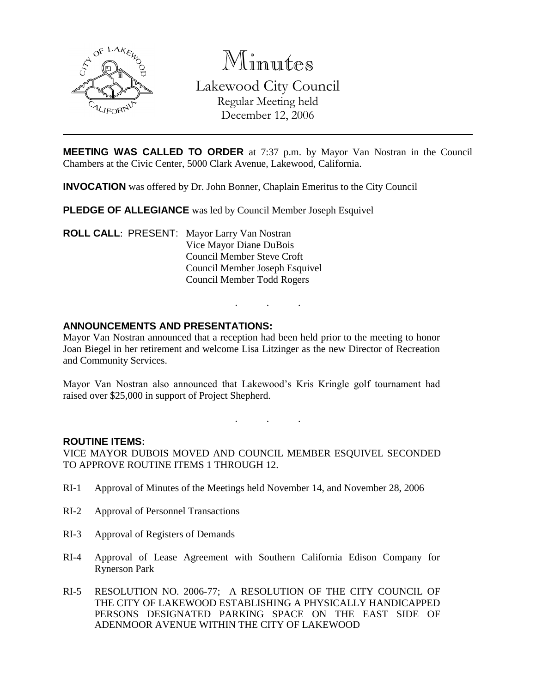

Minutes Lakewood City Council Regular Meeting held December 12, 2006

**MEETING WAS CALLED TO ORDER** at 7:37 p.m. by Mayor Van Nostran in the Council Chambers at the Civic Center, 5000 Clark Avenue, Lakewood, California.

**INVOCATION** was offered by Dr. John Bonner, Chaplain Emeritus to the City Council

**PLEDGE OF ALLEGIANCE** was led by Council Member Joseph Esquivel

**ROLL CALL**: PRESENT: Mayor Larry Van Nostran Vice Mayor Diane DuBois Council Member Steve Croft Council Member Joseph Esquivel Council Member Todd Rogers

#### **ANNOUNCEMENTS AND PRESENTATIONS:**

Mayor Van Nostran announced that a reception had been held prior to the meeting to honor Joan Biegel in her retirement and welcome Lisa Litzinger as the new Director of Recreation and Community Services.

Mayor Van Nostran also announced that Lakewood's Kris Kringle golf tournament had raised over \$25,000 in support of Project Shepherd.

. . .

. . .

#### **ROUTINE ITEMS:**

VICE MAYOR DUBOIS MOVED AND COUNCIL MEMBER ESQUIVEL SECONDED TO APPROVE ROUTINE ITEMS 1 THROUGH 12.

- RI-1 Approval of Minutes of the Meetings held November 14, and November 28, 2006
- RI-2 Approval of Personnel Transactions
- RI-3 Approval of Registers of Demands
- RI-4 Approval of Lease Agreement with Southern California Edison Company for Rynerson Park
- RI-5 RESOLUTION NO. 2006-77; A RESOLUTION OF THE CITY COUNCIL OF THE CITY OF LAKEWOOD ESTABLISHING A PHYSICALLY HANDICAPPED PERSONS DESIGNATED PARKING SPACE ON THE EAST SIDE OF ADENMOOR AVENUE WITHIN THE CITY OF LAKEWOOD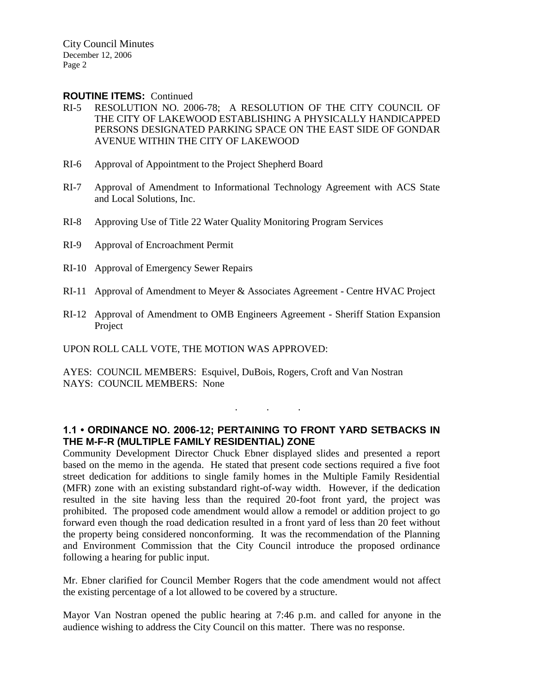City Council Minutes December 12, 2006 Page 2

#### **ROUTINE ITEMS:** Continued

- RI-5 RESOLUTION NO. 2006-78; A RESOLUTION OF THE CITY COUNCIL OF THE CITY OF LAKEWOOD ESTABLISHING A PHYSICALLY HANDICAPPED PERSONS DESIGNATED PARKING SPACE ON THE EAST SIDE OF GONDAR AVENUE WITHIN THE CITY OF LAKEWOOD
- RI-6 Approval of Appointment to the Project Shepherd Board
- RI-7 Approval of Amendment to Informational Technology Agreement with ACS State and Local Solutions, Inc.
- RI-8 Approving Use of Title 22 Water Quality Monitoring Program Services
- RI-9 Approval of Encroachment Permit
- RI-10 Approval of Emergency Sewer Repairs
- RI-11 Approval of Amendment to Meyer & Associates Agreement Centre HVAC Project
- RI-12 Approval of Amendment to OMB Engineers Agreement Sheriff Station Expansion Project

UPON ROLL CALL VOTE, THE MOTION WAS APPROVED:

AYES: COUNCIL MEMBERS: Esquivel, DuBois, Rogers, Croft and Van Nostran NAYS: COUNCIL MEMBERS: None

## **1.1 • ORDINANCE NO. 2006-12; PERTAINING TO FRONT YARD SETBACKS IN THE M-F-R (MULTIPLE FAMILY RESIDENTIAL) ZONE**

. . .

Community Development Director Chuck Ebner displayed slides and presented a report based on the memo in the agenda. He stated that present code sections required a five foot street dedication for additions to single family homes in the Multiple Family Residential (MFR) zone with an existing substandard right-of-way width. However, if the dedication resulted in the site having less than the required 20-foot front yard, the project was prohibited. The proposed code amendment would allow a remodel or addition project to go forward even though the road dedication resulted in a front yard of less than 20 feet without the property being considered nonconforming. It was the recommendation of the Planning and Environment Commission that the City Council introduce the proposed ordinance following a hearing for public input.

Mr. Ebner clarified for Council Member Rogers that the code amendment would not affect the existing percentage of a lot allowed to be covered by a structure.

Mayor Van Nostran opened the public hearing at 7:46 p.m. and called for anyone in the audience wishing to address the City Council on this matter. There was no response.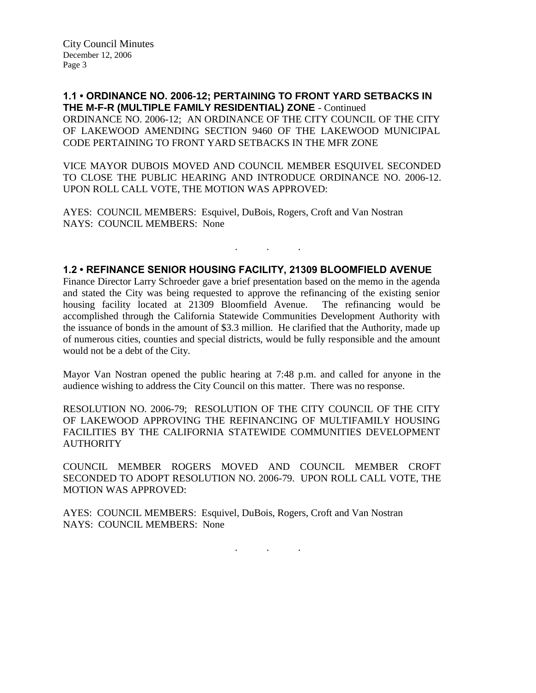City Council Minutes December 12, 2006 Page 3

**1.1 • ORDINANCE NO. 2006-12; PERTAINING TO FRONT YARD SETBACKS IN THE M-F-R (MULTIPLE FAMILY RESIDENTIAL) ZONE** - Continued ORDINANCE NO. 2006-12; AN ORDINANCE OF THE CITY COUNCIL OF THE CITY OF LAKEWOOD AMENDING SECTION 9460 OF THE LAKEWOOD MUNICIPAL CODE PERTAINING TO FRONT YARD SETBACKS IN THE MFR ZONE

VICE MAYOR DUBOIS MOVED AND COUNCIL MEMBER ESQUIVEL SECONDED TO CLOSE THE PUBLIC HEARING AND INTRODUCE ORDINANCE NO. 2006-12. UPON ROLL CALL VOTE, THE MOTION WAS APPROVED:

AYES: COUNCIL MEMBERS: Esquivel, DuBois, Rogers, Croft and Van Nostran NAYS: COUNCIL MEMBERS: None

#### **1.2 • REFINANCE SENIOR HOUSING FACILITY, 21309 BLOOMFIELD AVENUE**

. . .

Finance Director Larry Schroeder gave a brief presentation based on the memo in the agenda and stated the City was being requested to approve the refinancing of the existing senior housing facility located at 21309 Bloomfield Avenue. The refinancing would be accomplished through the California Statewide Communities Development Authority with the issuance of bonds in the amount of \$3.3 million. He clarified that the Authority, made up of numerous cities, counties and special districts, would be fully responsible and the amount would not be a debt of the City.

Mayor Van Nostran opened the public hearing at 7:48 p.m. and called for anyone in the audience wishing to address the City Council on this matter. There was no response.

RESOLUTION NO. 2006-79; RESOLUTION OF THE CITY COUNCIL OF THE CITY OF LAKEWOOD APPROVING THE REFINANCING OF MULTIFAMILY HOUSING FACILITIES BY THE CALIFORNIA STATEWIDE COMMUNITIES DEVELOPMENT **AUTHORITY** 

COUNCIL MEMBER ROGERS MOVED AND COUNCIL MEMBER CROFT SECONDED TO ADOPT RESOLUTION NO. 2006-79. UPON ROLL CALL VOTE, THE MOTION WAS APPROVED:

AYES: COUNCIL MEMBERS: Esquivel, DuBois, Rogers, Croft and Van Nostran NAYS: COUNCIL MEMBERS: None

. . .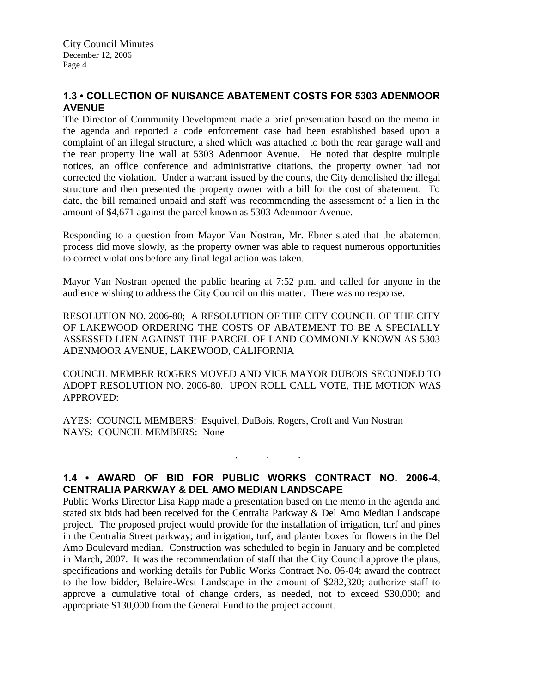# **1.3 • COLLECTION OF NUISANCE ABATEMENT COSTS FOR 5303 ADENMOOR AVENUE**

The Director of Community Development made a brief presentation based on the memo in the agenda and reported a code enforcement case had been established based upon a complaint of an illegal structure, a shed which was attached to both the rear garage wall and the rear property line wall at 5303 Adenmoor Avenue. He noted that despite multiple notices, an office conference and administrative citations, the property owner had not corrected the violation. Under a warrant issued by the courts, the City demolished the illegal structure and then presented the property owner with a bill for the cost of abatement. To date, the bill remained unpaid and staff was recommending the assessment of a lien in the amount of \$4,671 against the parcel known as 5303 Adenmoor Avenue.

Responding to a question from Mayor Van Nostran, Mr. Ebner stated that the abatement process did move slowly, as the property owner was able to request numerous opportunities to correct violations before any final legal action was taken.

Mayor Van Nostran opened the public hearing at 7:52 p.m. and called for anyone in the audience wishing to address the City Council on this matter. There was no response.

RESOLUTION NO. 2006-80; A RESOLUTION OF THE CITY COUNCIL OF THE CITY OF LAKEWOOD ORDERING THE COSTS OF ABATEMENT TO BE A SPECIALLY ASSESSED LIEN AGAINST THE PARCEL OF LAND COMMONLY KNOWN AS 5303 ADENMOOR AVENUE, LAKEWOOD, CALIFORNIA

COUNCIL MEMBER ROGERS MOVED AND VICE MAYOR DUBOIS SECONDED TO ADOPT RESOLUTION NO. 2006-80. UPON ROLL CALL VOTE, THE MOTION WAS APPROVED:

AYES: COUNCIL MEMBERS: Esquivel, DuBois, Rogers, Croft and Van Nostran NAYS: COUNCIL MEMBERS: None

# **1.4 • AWARD OF BID FOR PUBLIC WORKS CONTRACT NO. 2006-4, CENTRALIA PARKWAY & DEL AMO MEDIAN LANDSCAPE**

. . .

Public Works Director Lisa Rapp made a presentation based on the memo in the agenda and stated six bids had been received for the Centralia Parkway & Del Amo Median Landscape project. The proposed project would provide for the installation of irrigation, turf and pines in the Centralia Street parkway; and irrigation, turf, and planter boxes for flowers in the Del Amo Boulevard median. Construction was scheduled to begin in January and be completed in March, 2007. It was the recommendation of staff that the City Council approve the plans, specifications and working details for Public Works Contract No. 06-04; award the contract to the low bidder, Belaire-West Landscape in the amount of \$282,320; authorize staff to approve a cumulative total of change orders, as needed, not to exceed \$30,000; and appropriate \$130,000 from the General Fund to the project account.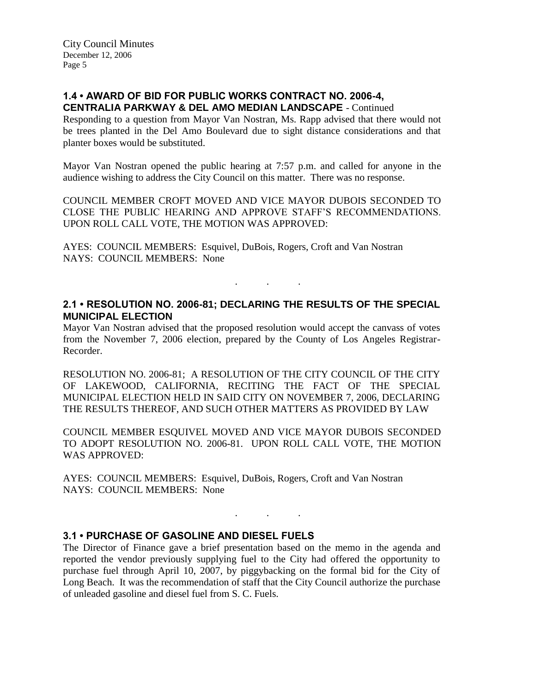## **1.4 • AWARD OF BID FOR PUBLIC WORKS CONTRACT NO. 2006-4, CENTRALIA PARKWAY & DEL AMO MEDIAN LANDSCAPE** - Continued

Responding to a question from Mayor Van Nostran, Ms. Rapp advised that there would not be trees planted in the Del Amo Boulevard due to sight distance considerations and that planter boxes would be substituted.

Mayor Van Nostran opened the public hearing at 7:57 p.m. and called for anyone in the audience wishing to address the City Council on this matter. There was no response.

COUNCIL MEMBER CROFT MOVED AND VICE MAYOR DUBOIS SECONDED TO CLOSE THE PUBLIC HEARING AND APPROVE STAFF'S RECOMMENDATIONS. UPON ROLL CALL VOTE, THE MOTION WAS APPROVED:

AYES: COUNCIL MEMBERS: Esquivel, DuBois, Rogers, Croft and Van Nostran NAYS: COUNCIL MEMBERS: None

## **2.1 • RESOLUTION NO. 2006-81; DECLARING THE RESULTS OF THE SPECIAL MUNICIPAL ELECTION**

. . .

Mayor Van Nostran advised that the proposed resolution would accept the canvass of votes from the November 7, 2006 election, prepared by the County of Los Angeles Registrar-Recorder.

RESOLUTION NO. 2006-81; A RESOLUTION OF THE CITY COUNCIL OF THE CITY OF LAKEWOOD, CALIFORNIA, RECITING THE FACT OF THE SPECIAL MUNICIPAL ELECTION HELD IN SAID CITY ON NOVEMBER 7, 2006, DECLARING THE RESULTS THEREOF, AND SUCH OTHER MATTERS AS PROVIDED BY LAW

COUNCIL MEMBER ESQUIVEL MOVED AND VICE MAYOR DUBOIS SECONDED TO ADOPT RESOLUTION NO. 2006-81. UPON ROLL CALL VOTE, THE MOTION WAS APPROVED:

AYES: COUNCIL MEMBERS: Esquivel, DuBois, Rogers, Croft and Van Nostran NAYS: COUNCIL MEMBERS: None

## **3.1 • PURCHASE OF GASOLINE AND DIESEL FUELS**

The Director of Finance gave a brief presentation based on the memo in the agenda and reported the vendor previously supplying fuel to the City had offered the opportunity to purchase fuel through April 10, 2007, by piggybacking on the formal bid for the City of Long Beach. It was the recommendation of staff that the City Council authorize the purchase of unleaded gasoline and diesel fuel from S. C. Fuels.

. . .